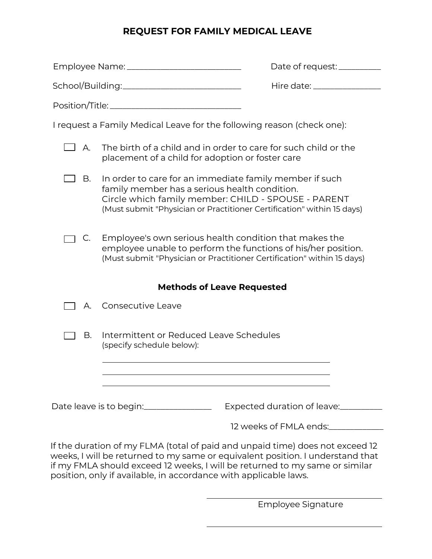## **REQUEST FOR FAMILY MEDICAL LEAVE**

|                                                                        |                                                                                                                                                                                                                                                                                                       | Date of request: __________  |
|------------------------------------------------------------------------|-------------------------------------------------------------------------------------------------------------------------------------------------------------------------------------------------------------------------------------------------------------------------------------------------------|------------------------------|
| School/Building:_______________________________                        |                                                                                                                                                                                                                                                                                                       | Hire date: _________________ |
|                                                                        |                                                                                                                                                                                                                                                                                                       |                              |
| I request a Family Medical Leave for the following reason (check one): |                                                                                                                                                                                                                                                                                                       |                              |
| Α.                                                                     | The birth of a child and in order to care for such child or the<br>placement of a child for adoption or foster care                                                                                                                                                                                   |                              |
| B.                                                                     | In order to care for an immediate family member if such<br>family member has a serious health condition.<br>Circle which family member: CHILD - SPOUSE - PARENT<br>(Must submit "Physician or Practitioner Certification" within 15 days)                                                             |                              |
| $\mathsf{C}.$                                                          | Employee's own serious health condition that makes the<br>employee unable to perform the functions of his/her position.<br>(Must submit "Physician or Practitioner Certification" within 15 days)                                                                                                     |                              |
| <b>Methods of Leave Requested</b>                                      |                                                                                                                                                                                                                                                                                                       |                              |
| А.                                                                     | Consecutive Leave                                                                                                                                                                                                                                                                                     |                              |
| В.                                                                     | Intermittent or Reduced Leave Schedules<br>(specify schedule below):<br>the control of the control of the control of the control of the control of the control of the control of the control of the control of the control of the control of the control of the control of the control of the control |                              |
| $\sim$ $\sim$ $\sim$ $\sim$ $\sim$                                     |                                                                                                                                                                                                                                                                                                       |                              |

12 weeks of FMLA ends:\_\_\_\_\_\_\_\_\_\_\_\_\_

If the duration of my FLMA (total of paid and unpaid time) does not exceed 12 weeks, I will be returned to my same or equivalent position. I understand that if my FMLA should exceed 12 weeks, I will be returned to my same or similar position, only if available, in accordance with applicable laws.

Employee Signature